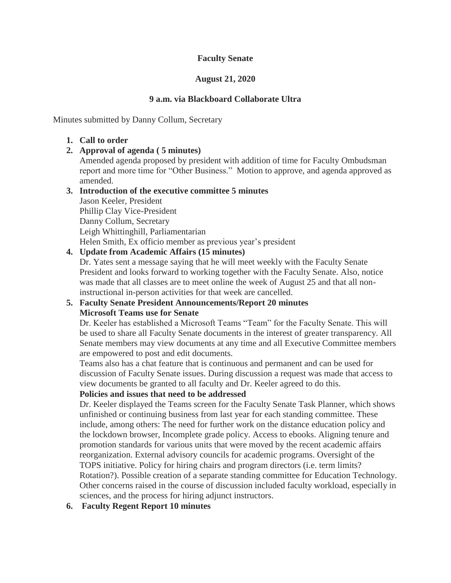### **Faculty Senate**

### **August 21, 2020**

### **9 a.m. via Blackboard Collaborate Ultra**

Minutes submitted by Danny Collum, Secretary

#### **1. Call to order**

**2. Approval of agenda ( 5 minutes)**

Amended agenda proposed by president with addition of time for Faculty Ombudsman report and more time for "Other Business." Motion to approve, and agenda approved as amended.

#### **3. Introduction of the executive committee 5 minutes** Jason Keeler, President

Phillip Clay Vice-President Danny Collum, Secretary Leigh Whittinghill, Parliamentarian Helen Smith, Ex officio member as previous year's president

# **4. Update from Academic Affairs (15 minutes)**

Dr. Yates sent a message saying that he will meet weekly with the Faculty Senate President and looks forward to working together with the Faculty Senate. Also, notice was made that all classes are to meet online the week of August 25 and that all noninstructional in-person activities for that week are cancelled.

# **5. Faculty Senate President Announcements/Report 20 minutes Microsoft Teams use for Senate**

Dr. Keeler has established a Microsoft Teams "Team" for the Faculty Senate. This will be used to share all Faculty Senate documents in the interest of greater transparency. All Senate members may view documents at any time and all Executive Committee members are empowered to post and edit documents.

Teams also has a chat feature that is continuous and permanent and can be used for discussion of Faculty Senate issues. During discussion a request was made that access to view documents be granted to all faculty and Dr. Keeler agreed to do this.

### **Policies and issues that need to be addressed**

Dr. Keeler displayed the Teams screen for the Faculty Senate Task Planner, which shows unfinished or continuing business from last year for each standing committee. These include, among others: The need for further work on the distance education policy and the lockdown browser, Incomplete grade policy. Access to ebooks. Aligning tenure and promotion standards for various units that were moved by the recent academic affairs reorganization. External advisory councils for academic programs. Oversight of the TOPS initiative. Policy for hiring chairs and program directors (i.e. term limits? Rotation?). Possible creation of a separate standing committee for Education Technology. Other concerns raised in the course of discussion included faculty workload, especially in sciences, and the process for hiring adjunct instructors.

### **6. Faculty Regent Report 10 minutes**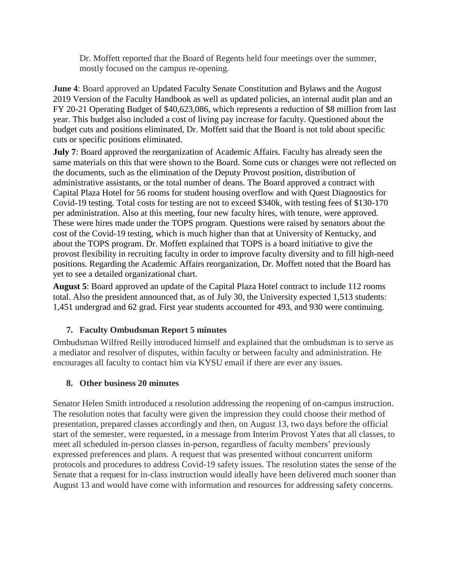Dr. Moffett reported that the Board of Regents held four meetings over the summer, mostly focused on the campus re-opening.

**June 4**: Board approved an Updated Faculty Senate Constitution and Bylaws and the August 2019 Version of the Faculty Handbook as well as updated policies, an internal audit plan and an FY 20-21 Operating Budget of \$40,623,086, which represents a reduction of \$8 million from last year. This budget also included a cost of living pay increase for faculty. Questioned about the budget cuts and positions eliminated, Dr. Moffett said that the Board is not told about specific cuts or specific positions eliminated.

**July 7**: Board approved the reorganization of Academic Affairs. Faculty has already seen the same materials on this that were shown to the Board. Some cuts or changes were not reflected on the documents, such as the elimination of the Deputy Provost position, distribution of administrative assistants, or the total number of deans. The Board approved a contract with Capital Plaza Hotel for 56 rooms for student housing overflow and with Quest Diagnostics for Covid-19 testing. Total costs for testing are not to exceed \$340k, with testing fees of \$130-170 per administration. Also at this meeting, four new faculty hires, with tenure, were approved. These were hires made under the TOPS program. Questions were raised by senators about the cost of the Covid-19 testing, which is much higher than that at University of Kentucky, and about the TOPS program. Dr. Moffett explained that TOPS is a board initiative to give the provost flexibility in recruiting faculty in order to improve faculty diversity and to fill high-need positions. Regarding the Academic Affairs reorganization, Dr. Moffett noted that the Board has yet to see a detailed organizational chart.

**August 5**: Board approved an update of the Capital Plaza Hotel contract to include 112 rooms total. Also the president announced that, as of July 30, the University expected 1,513 students: 1,451 undergrad and 62 grad. First year students accounted for 493, and 930 were continuing.

### **7. Faculty Ombudsman Report 5 minutes**

Ombudsman Wilfred Reilly introduced himself and explained that the ombudsman is to serve as a mediator and resolver of disputes, within faculty or between faculty and administration. He encourages all faculty to contact him via KYSU email if there are ever any issues.

### **8. Other business 20 minutes**

Senator Helen Smith introduced a resolution addressing the reopening of on-campus instruction. The resolution notes that faculty were given the impression they could choose their method of presentation, prepared classes accordingly and then, on August 13, two days before the official start of the semester, were requested, in a message from Interim Provost Yates that all classes, to meet all scheduled in-person classes in-person, regardless of faculty members' previously expressed preferences and plans. A request that was presented without concurrent uniform protocols and procedures to address Covid-19 safety issues. The resolution states the sense of the Senate that a request for in-class instruction would ideally have been delivered much sooner than August 13 and would have come with information and resources for addressing safety concerns.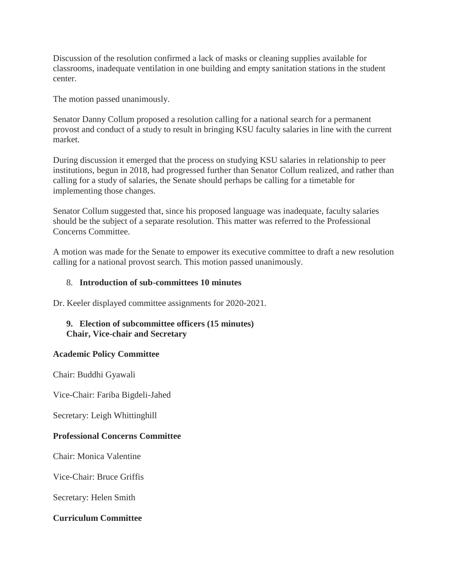Discussion of the resolution confirmed a lack of masks or cleaning supplies available for classrooms, inadequate ventilation in one building and empty sanitation stations in the student center.

The motion passed unanimously.

Senator Danny Collum proposed a resolution calling for a national search for a permanent provost and conduct of a study to result in bringing KSU faculty salaries in line with the current market.

During discussion it emerged that the process on studying KSU salaries in relationship to peer institutions, begun in 2018, had progressed further than Senator Collum realized, and rather than calling for a study of salaries, the Senate should perhaps be calling for a timetable for implementing those changes.

Senator Collum suggested that, since his proposed language was inadequate, faculty salaries should be the subject of a separate resolution. This matter was referred to the Professional Concerns Committee.

A motion was made for the Senate to empower its executive committee to draft a new resolution calling for a national provost search. This motion passed unanimously.

#### 8. **Introduction of sub-committees 10 minutes**

Dr. Keeler displayed committee assignments for 2020-2021.

### **9. Election of subcommittee officers (15 minutes) Chair, Vice-chair and Secretary**

### **Academic Policy Committee**

Chair: Buddhi Gyawali

Vice-Chair: Fariba Bigdeli-Jahed

Secretary: Leigh Whittinghill

### **Professional Concerns Committee**

Chair: Monica Valentine

Vice-Chair: Bruce Griffis

Secretary: Helen Smith

### **Curriculum Committee**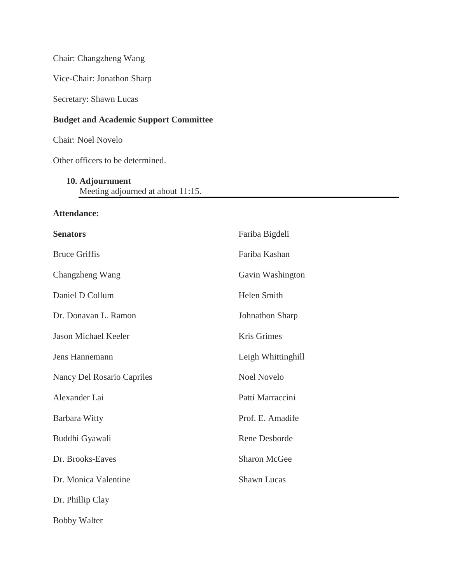Chair: Changzheng Wang

Vice-Chair: Jonathon Sharp

Secretary: Shawn Lucas

# **Budget and Academic Support Committee**

Chair: Noel Novelo

Other officers to be determined.

#### **10. Adjournment**

Meeting adjourned at about 11:15.

### **Attendance:**

| <b>Senators</b>             | Fariba Bigdeli      |
|-----------------------------|---------------------|
| <b>Bruce Griffis</b>        | Fariba Kashan       |
| Changzheng Wang             | Gavin Washington    |
| Daniel D Collum             | Helen Smith         |
| Dr. Donavan L. Ramon        | Johnathon Sharp     |
| <b>Jason Michael Keeler</b> | Kris Grimes         |
| Jens Hannemann              | Leigh Whittinghill  |
| Nancy Del Rosario Capriles  | <b>Noel Novelo</b>  |
| Alexander Lai               | Patti Marraccini    |
| <b>Barbara Witty</b>        | Prof. E. Amadife    |
| Buddhi Gyawali              | Rene Desborde       |
| Dr. Brooks-Eaves            | <b>Sharon McGee</b> |
| Dr. Monica Valentine        | <b>Shawn Lucas</b>  |
| Dr. Phillip Clay            |                     |
| <b>Bobby Walter</b>         |                     |